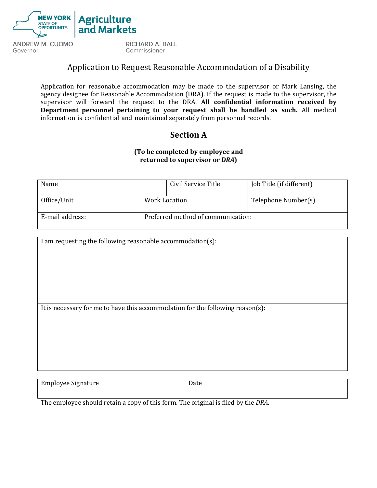

Application for reasonable accommodation may be made to the supervisor or Mark Lansing, the agency designee for Reasonable Accommodation (DRA). If the request is made to the supervisor, the supervisor will forward the request to the DRA. **All confidential information received by Department personnel pertaining to your request shall be handled as such.** All medical information is confidential and maintained separately from personnel records.

## **Section A**

### **(To be completed by employee and returned to supervisor or** *DRA***)**

| Name            |                                    | Civil Service Title | Job Title (if different) |
|-----------------|------------------------------------|---------------------|--------------------------|
| Office/Unit     | Work Location                      |                     | Telephone Number(s)      |
| E-mail address: | Preferred method of communication: |                     |                          |

I am requesting the following reasonable accommodation(s):

It is necessary for me to have this accommodation for the following reason(s):

| <b>Employee Signature</b> | Date |
|---------------------------|------|
|                           |      |

The employee should retain a copy of this form. The original is filed by the *DRA*.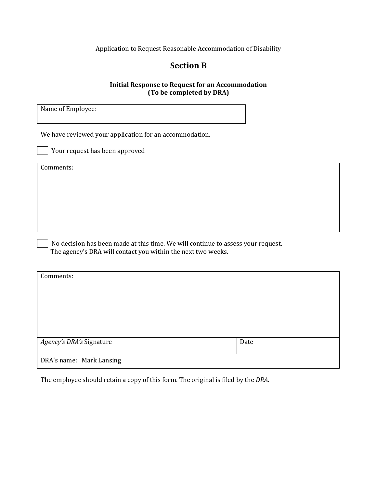## **Section B**

#### **Initial Response to Request for an Accommodation (To be completed by DRA)**

Name of Employee:

We have reviewed your application for an accommodation.

Your request has been approved

Comments:

No decision has been made at this time. We will continue to assess your request. The agency's DRA will contact you within the next two weeks.

| Comments:                |      |
|--------------------------|------|
|                          |      |
|                          |      |
|                          |      |
|                          |      |
|                          |      |
| Agency's DRA's Signature | Date |
|                          |      |
| DRA's name: Mark Lansing |      |

The employee should retain a copy of this form. The original is filed by the *DRA*.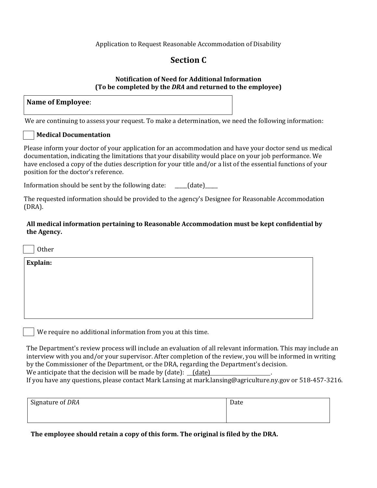## **Section C**

#### **Notification of Need for Additional Information (To be completed by the** *DRA* **and returned to the employee)**

| Name of Employee: |  |
|-------------------|--|
|-------------------|--|

We are continuing to assess your request. To make a determination, we need the following information:

### **Medical Documentation**

Please inform your doctor of your application for an accommodation and have your doctor send us medical documentation, indicating the limitations that your disability would place on your job performance. We have enclosed a copy of the duties description for your title and/or a list of the essential functions of your position for the doctor's reference.

Information should be sent by the following date:  $\qquad \qquad$  (date)

The requested information should be provided to the agency's Designee for Reasonable Accommodation (DRA).

**All medical information pertaining to Reasonable Accommodation must be kept confidential by the Agency.**

**Other** 

**Explain:**

We require no additional information from you at this time.

The Department's review process will include an evaluation of all relevant information. This may include an interview with you and/or your supervisor. After completion of the review, you will be informed in writing by the Commissioner of the Department, or the DRA, regarding the Department's decision. We anticipate that the decision will be made by  $(data)$ :  $(date)$ 

If you have any questions, please contact Mark Lansing at mark.lansing@agriculture.ny.gov or 518-457-3216.

| Signature of DRA | Date |
|------------------|------|
|                  |      |

**The employee should retain a copy of this form. The original is filed by the DRA.**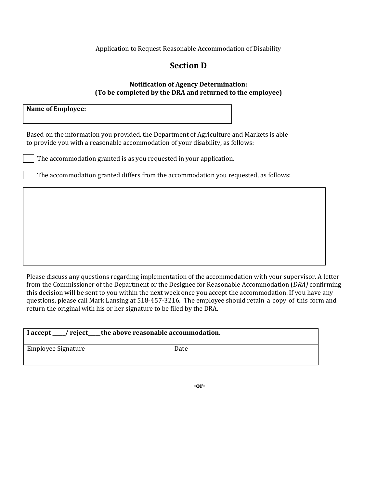## **Section D**

#### **Notification of Agency Determination: (To be completed by the DRA and returned to the employee)**

**Name of Employee:**

Based on the information you provided, the Department of Agriculture and Markets is able to provide you with a reasonable accommodation of your disability, as follows:

The accommodation granted is as you requested in your application.

The accommodation granted differs from the accommodation you requested, as follows:

Please discuss any questions regarding implementation of the accommodation with your supervisor. A letter from the Commissioner of the Department or the Designee for Reasonable Accommodation (*DRA)* confirming this decision will be sent to you within the next week once you accept the accommodation. If you have any questions, please call Mark Lansing at 518-457-3216. The employee should retain a copy of this form and return the original with his or her signature to be filed by the DRA.

| I accept ___/ reject____the above reasonable accommodation. |      |
|-------------------------------------------------------------|------|
| Employee Signature                                          | Date |

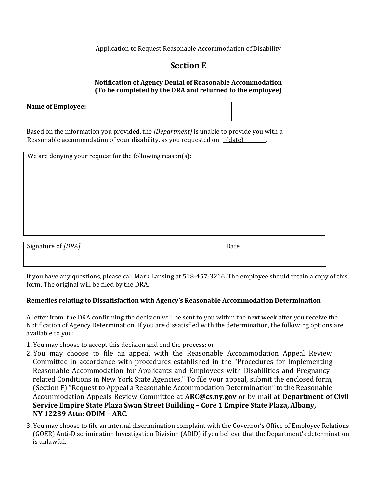# **Section E**

### **Notification of Agency Denial of Reasonable Accommodation (To be completed by the DRA and returned to the employee)**

**Name of Employee:**

Based on the information you provided, the *[Department]* is unable to provide you with a Reasonable accommodation of your disability, as you requested on *(date)* 

| We are denying your request for the following reason(s): |      |
|----------------------------------------------------------|------|
|                                                          |      |
|                                                          |      |
|                                                          |      |
|                                                          |      |
|                                                          |      |
|                                                          |      |
|                                                          |      |
| Signature of [DRA]                                       | Date |
|                                                          |      |

If you have any questions, please call Mark Lansing at 518-457-3216. The employee should retain a copy of this form. The original will be filed by the DRA.

### **Remedies relating to Dissatisfaction with Agency's Reasonable Accommodation Determination**

A letter from the DRA confirming the decision will be sent to you within the next week after you receive the Notification of Agency Determination. If you are dissatisfied with the determination, the following options are available to you:

1. You may choose to accept this decision and end the process; or

- 2. You may choose to file an appeal with the Reasonable Accommodation Appeal Review Committee in accordance with procedures established in the "Procedures for Implementing Reasonable Accommodation for Applicants and Employees with Disabilities and Pregnancyrelated Conditions in New York State Agencies." To file your appeal, submit the enclosed form, (Section F) "Request to Appeal a Reasonable Accommodation Determination" to the Reasonable Accommodation Appeals Review Committee at **ARC@cs.ny.gov** or by mail at **Department of Civil Service Empire State Plaza Swan Street Building – Core 1 Empire State Plaza, Albany, NY 12239 Attn: ODIM – ARC.**
- 3. You may choose to file an internal discrimination complaint with the Governor's Office of Employee Relations (GOER) Anti-Discrimination Investigation Division (ADID) if you believe that the Department's determination is unlawful.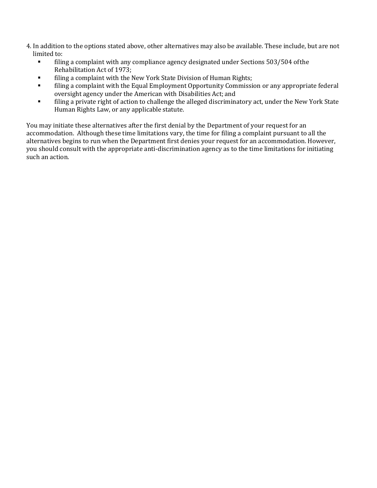- 4. In addition to the options stated above, other alternatives may also be available. These include, but are not limited to:
	- **•** filing a complaint with any compliance agency designated under Sections 503/504 of the Rehabilitation Act of 1973;
	- **■** filing a complaint with the New York State Division of Human Rights;
	- **•** filing a complaint with the Equal Employment Opportunity Commission or any appropriate federal oversight agency under the American with Disabilities Act; and
	- **•** filing a private right of action to challenge the alleged discriminatory act, under the New York State Human Rights Law, or any applicable statute.

You may initiate these alternatives after the first denial by the Department of your request for an accommodation. Although these time limitations vary, the time for filing a complaint pursuant to all the alternatives begins to run when the Department first denies your request for an accommodation. However, you should consult with the appropriate anti-discrimination agency as to the time limitations for initiating such an action.